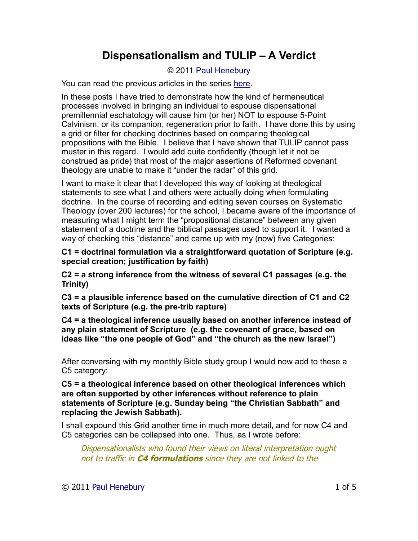## **Dispensationalism and TULIP – A Verdict**

## © 2011 [Paul Henebury](http://www.spiritandtruth.org/id/ph.htm)

You can read the previous articles in the series [here.](http://www.spiritandtruth.org/teaching/006.htm)

In these posts I have tried to demonstrate how the kind of hermeneutical processes involved in bringing an individual to espouse dispensational premillennial eschatology will cause him (or her) NOT to espouse 5-Point Calvinism, or its companion, regeneration prior to faith. I have done this by using a grid or filter for checking doctrines based on comparing theological propositions with the Bible. I believe that I have shown that TULIP cannot pass muster in this regard. I would add quite confidently (though let it not be construed as pride) that most of the major assertions of Reformed covenant theology are unable to make it "under the radar" of this grid.

I want to make it clear that I developed this way of looking at theological statements to see what I and others were actually doing when formulating doctrine. In the course of recording and editing seven courses on Systematic Theology (over 200 lectures) for the school, I became aware of the importance of measuring what I might term the "propositional distance" between any given statement of a doctrine and the biblical passages used to support it. I wanted a way of checking this "distance" and came up with my (now) five Categories:

**C1 = doctrinal formulation via a straightforward quotation of Scripture (e.g. special creation; justification by faith)**

**C2 = a strong inference from the witness of several C1 passages (e.g. the Trinity)**

**C3 = a plausible inference based on the cumulative direction of C1 and C2 texts of Scripture (e.g. the pre-trib rapture)**

**C4 = a theological inference usually based on another inference instead of any plain statement of Scripture (e.g. the covenant of grace, based on ideas like "the one people of God" and "the church as the new Israel")**

After conversing with my monthly Bible study group I would now add to these a C5 category:

**C5 = a theological inference based on other theological inferences which are often supported by other inferences without reference to plain statements of Scripture (e.g. Sunday being "the Christian Sabbath" and replacing the Jewish Sabbath).**

I shall expound this Grid another time in much more detail, and for now C4 and C5 categories can be collapsed into one. Thus, as I wrote before:

Dispensationalists who found their views on literal interpretation ought not to traffic in **C4 formulations** since they are not linked to the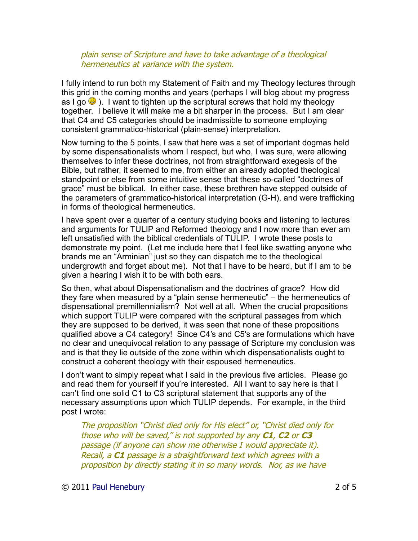## plain sense of Scripture and have to take advantage of a theological hermeneutics at variance with the system.

I fully intend to run both my Statement of Faith and my Theology lectures through this grid in the coming months and years (perhaps I will blog about my progress as I go  $\bigcirc$ ). I want to tighten up the scriptural screws that hold my theology together. I believe it will make me a bit sharper in the process. But I am clear that C4 and C5 categories should be inadmissible to someone employing consistent grammatico-historical (plain-sense) interpretation.

Now turning to the 5 points, I saw that here was a set of important dogmas held by some dispensationalists whom I respect, but who, I was sure, were allowing themselves to infer these doctrines, not from straightforward exegesis of the Bible, but rather, it seemed to me, from either an already adopted theological standpoint or else from some intuitive sense that these so-called "doctrines of grace" must be biblical. In either case, these brethren have stepped outside of the parameters of grammatico-historical interpretation (G-H), and were trafficking in forms of theological hermeneutics.

I have spent over a quarter of a century studying books and listening to lectures and arguments for TULIP and Reformed theology and I now more than ever am left unsatisfied with the biblical credentials of TULIP. I wrote these posts to demonstrate my point. (Let me include here that I feel like swatting anyone who brands me an "Arminian" just so they can dispatch me to the theological undergrowth and forget about me). Not that I have to be heard, but if I am to be given a hearing I wish it to be with both ears.

So then, what about Dispensationalism and the doctrines of grace? How did they fare when measured by a "plain sense hermeneutic" – the hermeneutics of dispensational premillennialism? Not well at all. When the crucial propositions which support TULIP were compared with the scriptural passages from which they are supposed to be derived, it was seen that none of these propositions qualified above a C4 category! Since C4′s and C5′s are formulations which have no clear and unequivocal relation to any passage of Scripture my conclusion was and is that they lie outside of the zone within which dispensationalists ought to construct a coherent theology with their espoused hermeneutics.

I don't want to simply repeat what I said in the previous five articles. Please go and read them for yourself if you're interested. All I want to say here is that I can't find one solid C1 to C3 scriptural statement that supports any of the necessary assumptions upon which TULIP depends. For example, in the third post I wrote:

The proposition "Christ died only for His elect" or, "Christ died only for those who will be saved," is not supported by any **C1**, **C2** or **C3** passage (if anyone can show me otherwise I would appreciate it). Recall, a **C1** passage is a straightforward text which agrees with a proposition by directly stating it in so many words. Nor, as we have

© 2011 [Paul Henebury](http://www.spiritandtruth.org/id/ph.htm) 2 of 5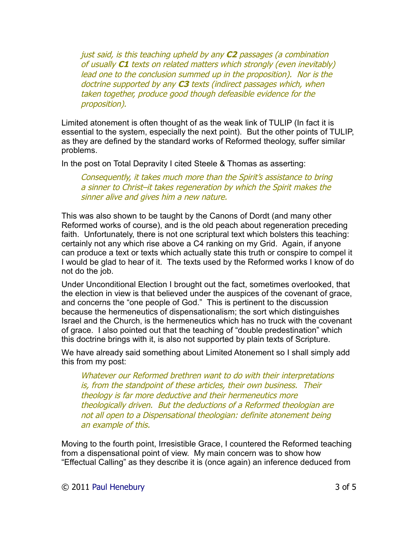just said, is this teaching upheld by any **C2** passages (a combination of usually **C1** texts on related matters which strongly (even inevitably) lead one to the conclusion summed up in the proposition). Nor is the doctrine supported by any **C3** texts (indirect passages which, when taken together, produce good though defeasible evidence for the proposition).

Limited atonement is often thought of as the weak link of TULIP (In fact it is essential to the system, especially the next point). But the other points of TULIP, as they are defined by the standard works of Reformed theology, suffer similar problems.

In the post on Total Depravity I cited Steele & Thomas as asserting:

Consequently, it takes much more than the Spirit's assistance to bring a sinner to Christ–it takes regeneration by which the Spirit makes the sinner alive and gives him a new nature.

This was also shown to be taught by the Canons of Dordt (and many other Reformed works of course), and is the old peach about regeneration preceding faith. Unfortunately, there is not one scriptural text which bolsters this teaching: certainly not any which rise above a C4 ranking on my Grid. Again, if anyone can produce a text or texts which actually state this truth or conspire to compel it I would be glad to hear of it. The texts used by the Reformed works I know of do not do the job.

Under Unconditional Election I brought out the fact, sometimes overlooked, that the election in view is that believed under the auspices of the covenant of grace, and concerns the "one people of God." This is pertinent to the discussion because the hermeneutics of dispensationalism; the sort which distinguishes Israel and the Church, is the hermeneutics which has no truck with the covenant of grace. I also pointed out that the teaching of "double predestination" which this doctrine brings with it, is also not supported by plain texts of Scripture.

We have already said something about Limited Atonement so I shall simply add this from my post:

Whatever our Reformed brethren want to do with their interpretations is, from the standpoint of these articles, their own business. Their theology is far more deductive and their hermeneutics more theologically driven. But the deductions of a Reformed theologian are not all open to a Dispensational theologian: definite atonement being an example of this.

Moving to the fourth point, Irresistible Grace, I countered the Reformed teaching from a dispensational point of view. My main concern was to show how "Effectual Calling" as they describe it is (once again) an inference deduced from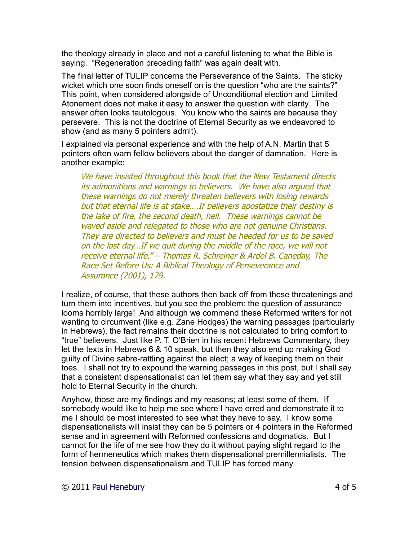the theology already in place and not a careful listening to what the Bible is saying. "Regeneration preceding faith" was again dealt with.

The final letter of TULIP concerns the Perseverance of the Saints. The sticky wicket which one soon finds oneself on is the question "who are the saints?" This point, when considered alongside of Unconditional election and Limited Atonement does not make it easy to answer the question with clarity. The answer often looks tautologous. You know who the saints are because they persevere. This is not the doctrine of Eternal Security as we endeavored to show (and as many 5 pointers admit).

I explained via personal experience and with the help of A.N. Martin that 5 pointers often warn fellow believers about the danger of damnation. Here is another example:

We have insisted throughout this book that the New Testament directs its admonitions and warnings to believers. We have also argued that these warnings do not merely threaten believers with losing rewards but that eternal life is at stake….If believers apostatize their destiny is the lake of fire, the second death, hell. These warnings cannot be waved aside and relegated to those who are not genuine Christians. They are directed to believers and must be heeded for us to be saved on the last day…If we quit during the middle of the race, we will not receive eternal life." – Thomas R. Schreiner & Ardel B. Caneday, The Race Set Before Us: A Biblical Theology of Perseverance and Assurance (2001), 179.

I realize, of course, that these authors then back off from these threatenings and turn them into incentives, but you see the problem: the question of assurance looms horribly large! And although we commend these Reformed writers for not wanting to circumvent (like e.g. Zane Hodges) the warning passages (particularly in Hebrews), the fact remains their doctrine is not calculated to bring comfort to "true" believers. Just like P. T. O'Brien in his recent Hebrews Commentary, they let the texts in Hebrews 6 & 10 speak, but then they also end up making God guilty of Divine sabre-rattling against the elect; a way of keeping them on their toes. I shall not try to expound the warning passages in this post, but I shall say that a consistent dispensationalist can let them say what they say and yet still hold to Eternal Security in the church.

Anyhow, those are my findings and my reasons; at least some of them. If somebody would like to help me see where I have erred and demonstrate it to me I should be most interested to see what they have to say. I know some dispensationalists will insist they can be 5 pointers or 4 pointers in the Reformed sense and in agreement with Reformed confessions and dogmatics. But I cannot for the life of me see how they do it without paying slight regard to the form of hermeneutics which makes them dispensational premillennialists. The tension between dispensationalism and TULIP has forced many